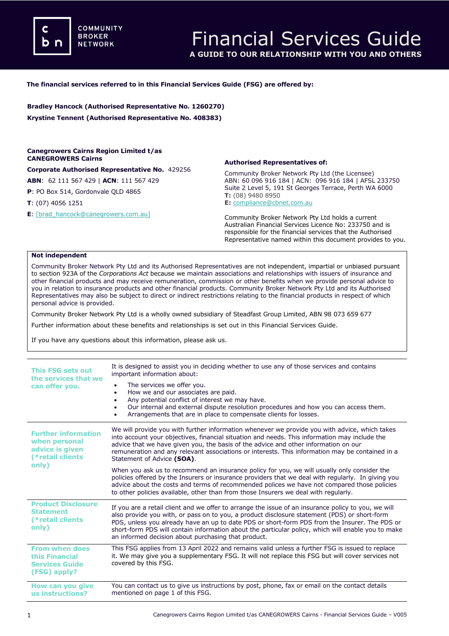**COMMUNITY BROKER NETWORK** 

## **The financial services referred to in this Financial Services Guide (FSG) are offered by:**

**Bradley Hancock (Authorised Representative No. 1260270) Krystine Tennent (Authorised Representative No. 408383)**

### **Canegrowers Cairns Region Limited t/as CANEGROWERS Cairns**

**Corporate Authorised Representative No.** 429256

**ABN**: 62 111 567 429 | **ACN**: 111 567 429

**P**: PO Box 514, Gordonvale QLD 4865

**T**: (07) 4056 1251

**E**: [\[brad\\_hancock@canegrowers.com.au\]](mailto:meena@dataprivacyinsurance.com.au)

## **Authorised Representatives of:**

Community Broker Network Pty Ltd (the Licensee) ABN: 60 096 916 184 | ACN: 096 916 184 | AFSL 233750 Suite 2 Level 5, 191 St Georges Terrace, Perth WA 6000 **T:** (08) 9480 8950 **E:** [compliance@cbnet.com.au](mailto:queries@naswg.com.au) 

Community Broker Network Pty Ltd holds a current Australian Financial Services Licence No: 233750 and is responsible for the financial services that the Authorised Representative named within this document provides to you.

### **Not independent**

Community Broker Network Pty Ltd and its Authorised Representatives are not independent, impartial or unbiased pursuant to section 923A of the *Corporations Act* because we maintain associations and relationships with issuers of insurance and other financial products and may receive remuneration, commission or other benefits when we provide personal advice to you in relation to insurance products and other financial products. Community Broker Network Pty Ltd and its Authorised Representatives may also be subject to direct or indirect restrictions relating to the financial products in respect of which personal advice is provided.

Community Broker Network Pty Ltd is a wholly owned subsidiary of Steadfast Group Limited, ABN 98 073 659 677

Further information about these benefits and relationships is set out in this Financial Services Guide.

If you have any questions about this information, please ask us.

| <b>This FSG sets out</b><br>the services that we<br>can offer you.                          | It is designed to assist you in deciding whether to use any of those services and contains<br>important information about:                                                                                                                                                                                                                                                                                                                                        |
|---------------------------------------------------------------------------------------------|-------------------------------------------------------------------------------------------------------------------------------------------------------------------------------------------------------------------------------------------------------------------------------------------------------------------------------------------------------------------------------------------------------------------------------------------------------------------|
|                                                                                             | The services we offer you.<br>٠<br>How we and our associates are paid.<br>$\bullet$<br>Any potential conflict of interest we may have.<br>٠<br>Our internal and external dispute resolution procedures and how you can access them.<br>٠<br>Arrangements that are in place to compensate clients for losses.                                                                                                                                                      |
| <b>Further information</b><br>when personal<br>advice is given<br>(*retail clients<br>only) | We will provide you with further information whenever we provide you with advice, which takes<br>into account your objectives, financial situation and needs. This information may include the<br>advice that we have given you, the basis of the advice and other information on our<br>remuneration and any relevant associations or interests. This information may be contained in a<br>Statement of Advice (SOA).                                            |
|                                                                                             | When you ask us to recommend an insurance policy for you, we will usually only consider the<br>policies offered by the Insurers or insurance providers that we deal with regularly. In giving you<br>advice about the costs and terms of recommended polices we have not compared those policies<br>to other policies available, other than from those Insurers we deal with regularly.                                                                           |
| <b>Product Disclosure</b><br><b>Statement</b><br>(*retail clients)<br>only)                 | If you are a retail client and we offer to arrange the issue of an insurance policy to you, we will<br>also provide you with, or pass on to you, a product disclosure statement (PDS) or short-form<br>PDS, unless you already have an up to date PDS or short-form PDS from the Insurer. The PDS or<br>short-form PDS will contain information about the particular policy, which will enable you to make<br>an informed decision about purchasing that product. |
| <b>From when does</b><br>this Financial<br><b>Services Guide</b><br>(FSG) apply?            | This FSG applies from 13 April 2022 and remains valid unless a further FSG is issued to replace<br>it. We may give you a supplementary FSG. It will not replace this FSG but will cover services not<br>covered by this FSG.                                                                                                                                                                                                                                      |
| How can you give<br>us instructions?                                                        | You can contact us to give us instructions by post, phone, fax or email on the contact details<br>mentioned on page 1 of this FSG.                                                                                                                                                                                                                                                                                                                                |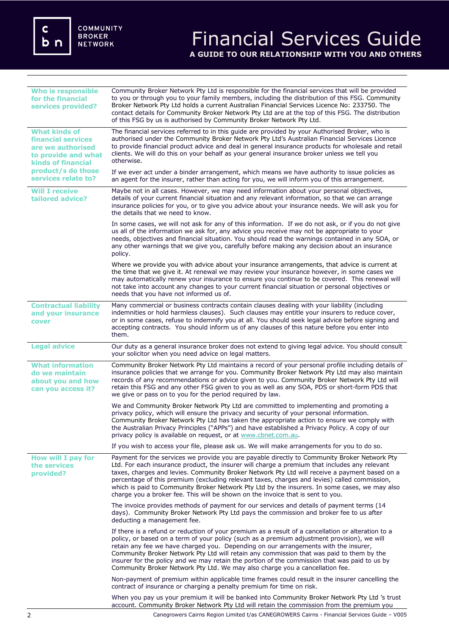c<br>b n

# Financial Services Guide **A GUIDE TO OUR RELATIONSHIP WITH YOU AND OTHERS**

| <b>Who is responsible</b><br>for the financial<br>services provided?                                                                                                    | Community Broker Network Pty Ltd is responsible for the financial services that will be provided<br>to you or through you to your family members, including the distribution of this FSG. Community<br>Broker Network Pty Ltd holds a current Australian Financial Services Licence No: 233750. The<br>contact details for Community Broker Network Pty Ltd are at the top of this FSG. The distribution<br>of this FSG by us is authorised by Community Broker Network Pty Ltd.                                                                                                   |
|-------------------------------------------------------------------------------------------------------------------------------------------------------------------------|------------------------------------------------------------------------------------------------------------------------------------------------------------------------------------------------------------------------------------------------------------------------------------------------------------------------------------------------------------------------------------------------------------------------------------------------------------------------------------------------------------------------------------------------------------------------------------|
| <b>What kinds of</b><br><b>financial services</b><br>are we authorised<br>to provide and what<br><b>kinds of financial</b><br>product/s do those<br>services relate to? | The financial services referred to in this guide are provided by your Authorised Broker, who is<br>authorised under the Community Broker Network Pty Ltd's Australian Financial Services Licence<br>to provide financial product advice and deal in general insurance products for wholesale and retail<br>clients. We will do this on your behalf as your general insurance broker unless we tell you<br>otherwise.                                                                                                                                                               |
|                                                                                                                                                                         | If we ever act under a binder arrangement, which means we have authority to issue policies as<br>an agent for the insurer, rather than acting for you, we will inform you of this arrangement.                                                                                                                                                                                                                                                                                                                                                                                     |
| <b>Will I receive</b><br>tailored advice?                                                                                                                               | Maybe not in all cases. However, we may need information about your personal objectives,<br>details of your current financial situation and any relevant information, so that we can arrange<br>insurance policies for you, or to give you advice about your insurance needs. We will ask you for<br>the details that we need to know.                                                                                                                                                                                                                                             |
|                                                                                                                                                                         | In some cases, we will not ask for any of this information. If we do not ask, or if you do not give<br>us all of the information we ask for, any advice you receive may not be appropriate to your<br>needs, objectives and financial situation. You should read the warnings contained in any SOA, or<br>any other warnings that we give you, carefully before making any decision about an insurance<br>policy.                                                                                                                                                                  |
|                                                                                                                                                                         | Where we provide you with advice about your insurance arrangements, that advice is current at<br>the time that we give it. At renewal we may review your insurance however, in some cases we<br>may automatically renew your insurance to ensure you continue to be covered. This renewal will<br>not take into account any changes to your current financial situation or personal objectives or<br>needs that you have not informed us of.                                                                                                                                       |
| <b>Contractual liability</b><br>and your insurance<br>cover                                                                                                             | Many commercial or business contracts contain clauses dealing with your liability (including<br>indemnities or hold harmless clauses). Such clauses may entitle your insurers to reduce cover,<br>or in some cases, refuse to indemnify you at all. You should seek legal advice before signing and<br>accepting contracts. You should inform us of any clauses of this nature before you enter into<br>them.                                                                                                                                                                      |
| <b>Legal advice</b>                                                                                                                                                     | Our duty as a general insurance broker does not extend to giving legal advice. You should consult<br>your solicitor when you need advice on legal matters.                                                                                                                                                                                                                                                                                                                                                                                                                         |
| <b>What information</b><br>do we maintain<br>about you and how<br>can you access it?                                                                                    | Community Broker Network Pty Ltd maintains a record of your personal profile including details of<br>insurance policies that we arrange for you. Community Broker Network Pty Ltd may also maintain<br>records of any recommendations or advice given to you. Community Broker Network Pty Ltd will<br>retain this FSG and any other FSG given to you as well as any SOA, PDS or short-form PDS that<br>we give or pass on to you for the period required by law.                                                                                                                  |
|                                                                                                                                                                         | We and Community Broker Network Pty Ltd are committed to implementing and promoting a<br>privacy policy, which will ensure the privacy and security of your personal information.<br>Community Broker Network Pty Ltd has taken the appropriate action to ensure we comply with<br>the Australian Privacy Principles ("APPs") and have established a Privacy Policy. A copy of our<br>privacy policy is available on request, or at www.cbnet.com.au.                                                                                                                              |
|                                                                                                                                                                         | If you wish to access your file, please ask us. We will make arrangements for you to do so.                                                                                                                                                                                                                                                                                                                                                                                                                                                                                        |
| How will I pay for<br>the services<br>provided?                                                                                                                         | Payment for the services we provide you are payable directly to Community Broker Network Pty<br>Ltd. For each insurance product, the insurer will charge a premium that includes any relevant<br>taxes, charges and levies. Community Broker Network Pty Ltd will receive a payment based on a<br>percentage of this premium (excluding relevant taxes, charges and levies) called commission,<br>which is paid to Community Broker Network Pty Ltd by the insurers. In some cases, we may also<br>charge you a broker fee. This will be shown on the invoice that is sent to you. |
|                                                                                                                                                                         | The invoice provides methods of payment for our services and details of payment terms (14<br>days). Community Broker Network Pty Ltd pays the commission and broker fee to us after<br>deducting a management fee.                                                                                                                                                                                                                                                                                                                                                                 |
|                                                                                                                                                                         | If there is a refund or reduction of your premium as a result of a cancellation or alteration to a<br>policy, or based on a term of your policy (such as a premium adjustment provision), we will<br>retain any fee we have charged you. Depending on our arrangements with the insurer,<br>Community Broker Network Pty Ltd will retain any commission that was paid to them by the<br>insurer for the policy and we may retain the portion of the commission that was paid to us by<br>Community Broker Network Pty Ltd. We may also charge you a cancellation fee.              |
|                                                                                                                                                                         | Non-payment of premium within applicable time frames could result in the insurer cancelling the<br>contract of insurance or charging a penalty premium for time on risk.                                                                                                                                                                                                                                                                                                                                                                                                           |
|                                                                                                                                                                         | When you pay us your premium it will be banked into Community Broker Network Pty Ltd 's trust<br>account. Community Broker Network Pty Ltd will retain the commission from the premium you                                                                                                                                                                                                                                                                                                                                                                                         |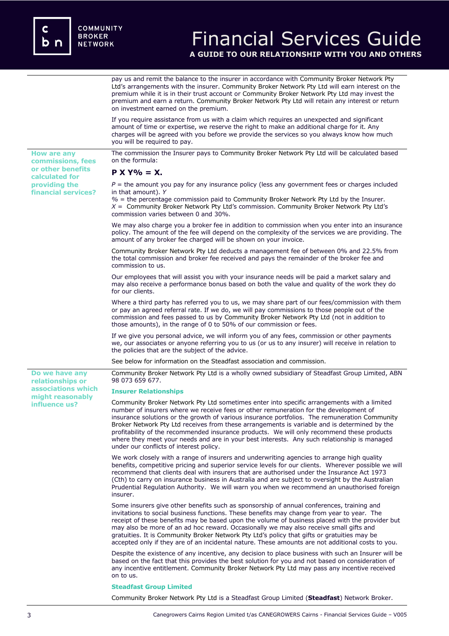**or other benefits calculated for providing the financial services?**

**Do we have any relationships or associations which might reasonably influence us?** 

## Financial Services Guide **A GUIDE TO OUR RELATIONSHIP WITH YOU AND OTHERS**

pay us and remit the balance to the insurer in accordance with Community Broker Network Pty Ltd's arrangements with the insurer. Community Broker Network Pty Ltd will earn interest on the premium while it is in their trust account or Community Broker Network Pty Ltd may invest the premium and earn a return. Community Broker Network Pty Ltd will retain any interest or return on investment earned on the premium.

If you require assistance from us with a claim which requires an unexpected and significant amount of time or expertise, we reserve the right to make an additional charge for it. Any charges will be agreed with you before we provide the services so you always know how much you will be required to pay.

**How are any commissions, fees**  The commission the Insurer pays to Community Broker Network Pty Ltd will be calculated based on the formula:

## **P X Y% = X.**

 $P =$  the amount you pay for any insurance policy (less any government fees or charges included in that amount). *Y*

*%* = the percentage commission paid to Community Broker Network Pty Ltd by the Insurer. *X* = Community Broker Network Pty Ltd's commission. Community Broker Network Pty Ltd's commission varies between 0 and 30%.

We may also charge you a broker fee in addition to commission when you enter into an insurance policy. The amount of the fee will depend on the complexity of the services we are providing. The amount of any broker fee charged will be shown on your invoice.

Community Broker Network Pty Ltd deducts a management fee of between 0% and 22.5% from the total commission and broker fee received and pays the remainder of the broker fee and commission to us.

Our employees that will assist you with your insurance needs will be paid a market salary and may also receive a performance bonus based on both the value and quality of the work they do for our clients.

Where a third party has referred you to us, we may share part of our fees/commission with them or pay an agreed referral rate. If we do, we will pay commissions to those people out of the commission and fees passed to us by Community Broker Network Pty Ltd (not in addition to those amounts), in the range of 0 to 50% of our commission or fees.

If we give you personal advice, we will inform you of any fees, commission or other payments we, our associates or anyone referring you to us (or us to any insurer) will receive in relation to the policies that are the subject of the advice.

See below for information on the Steadfast association and commission.

Community Broker Network Pty Ltd is a wholly owned subsidiary of Steadfast Group Limited, ABN 98 073 659 677.

### **Insurer Relationships**

Community Broker Network Pty Ltd sometimes enter into specific arrangements with a limited number of insurers where we receive fees or other remuneration for the development of insurance solutions or the growth of various insurance portfolios. The remuneration Community Broker Network Pty Ltd receives from these arrangements is variable and is determined by the profitability of the recommended insurance products. We will only recommend these products where they meet your needs and are in your best interests. Any such relationship is managed under our conflicts of interest policy.

We work closely with a range of insurers and underwriting agencies to arrange high quality benefits, competitive pricing and superior service levels for our clients. Wherever possible we will recommend that clients deal with insurers that are authorised under the Insurance Act 1973 (Cth) to carry on insurance business in Australia and are subject to oversight by the Australian Prudential Regulation Authority. We will warn you when we recommend an unauthorised foreign insurer.

Some insurers give other benefits such as sponsorship of annual conferences, training and invitations to social business functions. These benefits may change from year to year. The receipt of these benefits may be based upon the volume of business placed with the provider but may also be more of an ad hoc reward. Occasionally we may also receive small gifts and gratuities. It is Community Broker Network Pty Ltd's policy that gifts or gratuities may be accepted only if they are of an incidental nature. These amounts are not additional costs to you.

Despite the existence of any incentive, any decision to place business with such an Insurer will be based on the fact that this provides the best solution for you and not based on consideration of any incentive entitlement. Community Broker Network Pty Ltd may pass any incentive received on to us.

### **Steadfast Group Limited**

Community Broker Network Pty Ltd is a Steadfast Group Limited (**Steadfast**) Network Broker.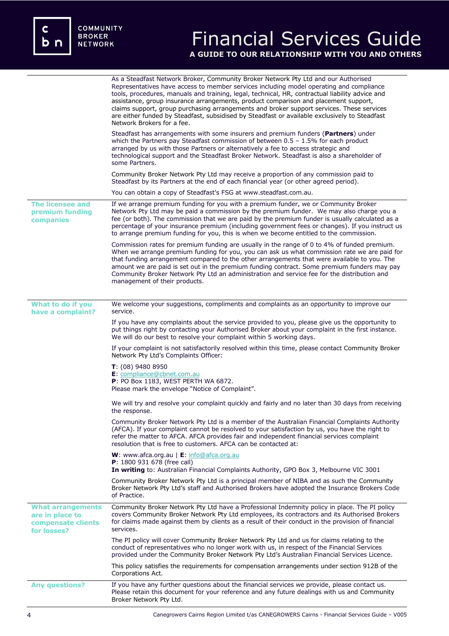c<br>b n

# Financial Services Guide **A GUIDE TO OUR RELATIONSHIP WITH YOU AND OTHERS**

|                                                                                  | As a Steadfast Network Broker, Community Broker Network Pty Ltd and our Authorised<br>Representatives have access to member services including model operating and compliance<br>tools, procedures, manuals and training, legal, technical, HR, contractual liability advice and<br>assistance, group insurance arrangements, product comparison and placement support,<br>claims support, group purchasing arrangements and broker support services. These services<br>are either funded by Steadfast, subsidised by Steadfast or available exclusively to Steadfast<br>Network Brokers for a fee. |
|----------------------------------------------------------------------------------|-----------------------------------------------------------------------------------------------------------------------------------------------------------------------------------------------------------------------------------------------------------------------------------------------------------------------------------------------------------------------------------------------------------------------------------------------------------------------------------------------------------------------------------------------------------------------------------------------------|
|                                                                                  | Steadfast has arrangements with some insurers and premium funders ( <b>Partners</b> ) under<br>which the Partners pay Steadfast commission of between $0.5 - 1.5\%$ for each product<br>arranged by us with those Partners or alternatively a fee to access strategic and<br>technological support and the Steadfast Broker Network. Steadfast is also a shareholder of<br>some Partners.                                                                                                                                                                                                           |
|                                                                                  | Community Broker Network Pty Ltd may receive a proportion of any commission paid to<br>Steadfast by its Partners at the end of each financial year (or other agreed period).                                                                                                                                                                                                                                                                                                                                                                                                                        |
|                                                                                  | You can obtain a copy of Steadfast's FSG at www.steadfast.com.au.                                                                                                                                                                                                                                                                                                                                                                                                                                                                                                                                   |
| <b>The licensee and</b><br>premium funding<br>companies                          | If we arrange premium funding for you with a premium funder, we or Community Broker<br>Network Pty Ltd may be paid a commission by the premium funder. We may also charge you a<br>fee (or both). The commission that we are paid by the premium funder is usually calculated as a<br>percentage of your insurance premium (including government fees or changes). If you instruct us<br>to arrange premium funding for you, this is when we become entitled to the commission.                                                                                                                     |
|                                                                                  | Commission rates for premium funding are usually in the range of 0 to 4% of funded premium.<br>When we arrange premium funding for you, you can ask us what commission rate we are paid for<br>that funding arrangement compared to the other arrangements that were available to you. The<br>amount we are paid is set out in the premium funding contract. Some premium funders may pay<br>Community Broker Network Pty Ltd an administration and service fee for the distribution and<br>management of their products.                                                                           |
| What to do if you                                                                | We welcome your suggestions, compliments and complaints as an opportunity to improve our                                                                                                                                                                                                                                                                                                                                                                                                                                                                                                            |
| have a complaint?                                                                | service.                                                                                                                                                                                                                                                                                                                                                                                                                                                                                                                                                                                            |
|                                                                                  | If you have any complaints about the service provided to you, please give us the opportunity to<br>put things right by contacting your Authorised Broker about your complaint in the first instance.<br>We will do our best to resolve your complaint within 5 working days.                                                                                                                                                                                                                                                                                                                        |
|                                                                                  | If your complaint is not satisfactorily resolved within this time, please contact Community Broker<br>Network Pty Ltd's Complaints Officer:                                                                                                                                                                                                                                                                                                                                                                                                                                                         |
|                                                                                  | $T: (08)$ 9480 8950<br>E: compliance@cbnet.com.au<br>P: PO Box 1183, WEST PERTH WA 6872.<br>Please mark the envelope "Notice of Complaint".                                                                                                                                                                                                                                                                                                                                                                                                                                                         |
|                                                                                  | We will try and resolve your complaint quickly and fairly and no later than 30 days from receiving<br>the response.                                                                                                                                                                                                                                                                                                                                                                                                                                                                                 |
|                                                                                  | Community Broker Network Pty Ltd is a member of the Australian Financial Complaints Authority<br>(AFCA). If your complaint cannot be resolved to your satisfaction by us, you have the right to<br>refer the matter to AFCA. AFCA provides fair and independent financial services complaint<br>resolution that is free to customers. AFCA can be contacted at:                                                                                                                                                                                                                                     |
|                                                                                  | <b>W</b> : www.afca.org.au $\mathsf{E}$ : info@afca.org.au<br>P: 1800 931 678 (free call)<br>In writing to: Australian Financial Complaints Authority, GPO Box 3, Melbourne VIC 3001                                                                                                                                                                                                                                                                                                                                                                                                                |
|                                                                                  | Community Broker Network Pty Ltd is a principal member of NIBA and as such the Community<br>Broker Network Pty Ltd's staff and Authorised Brokers have adopted the Insurance Brokers Code<br>of Practice.                                                                                                                                                                                                                                                                                                                                                                                           |
| <b>What arrangements</b><br>are in place to<br>compensate clients<br>for losses? | Community Broker Network Pty Ltd have a Professional Indemnity policy in place. The PI policy<br>covers Community Broker Network Pty Ltd employees, its contractors and its Authorised Brokers<br>for claims made against them by clients as a result of their conduct in the provision of financial<br>services.                                                                                                                                                                                                                                                                                   |
|                                                                                  | The PI policy will cover Community Broker Network Pty Ltd and us for claims relating to the<br>conduct of representatives who no longer work with us, in respect of the Financial Services<br>provided under the Community Broker Network Pty Ltd's Australian Financial Services Licence.                                                                                                                                                                                                                                                                                                          |
|                                                                                  | This policy satisfies the requirements for compensation arrangements under section 912B of the<br>Corporations Act.                                                                                                                                                                                                                                                                                                                                                                                                                                                                                 |
| <b>Any questions?</b>                                                            | If you have any further questions about the financial services we provide, please contact us.<br>Please retain this document for your reference and any future dealings with us and Community<br>Broker Network Pty Ltd.                                                                                                                                                                                                                                                                                                                                                                            |